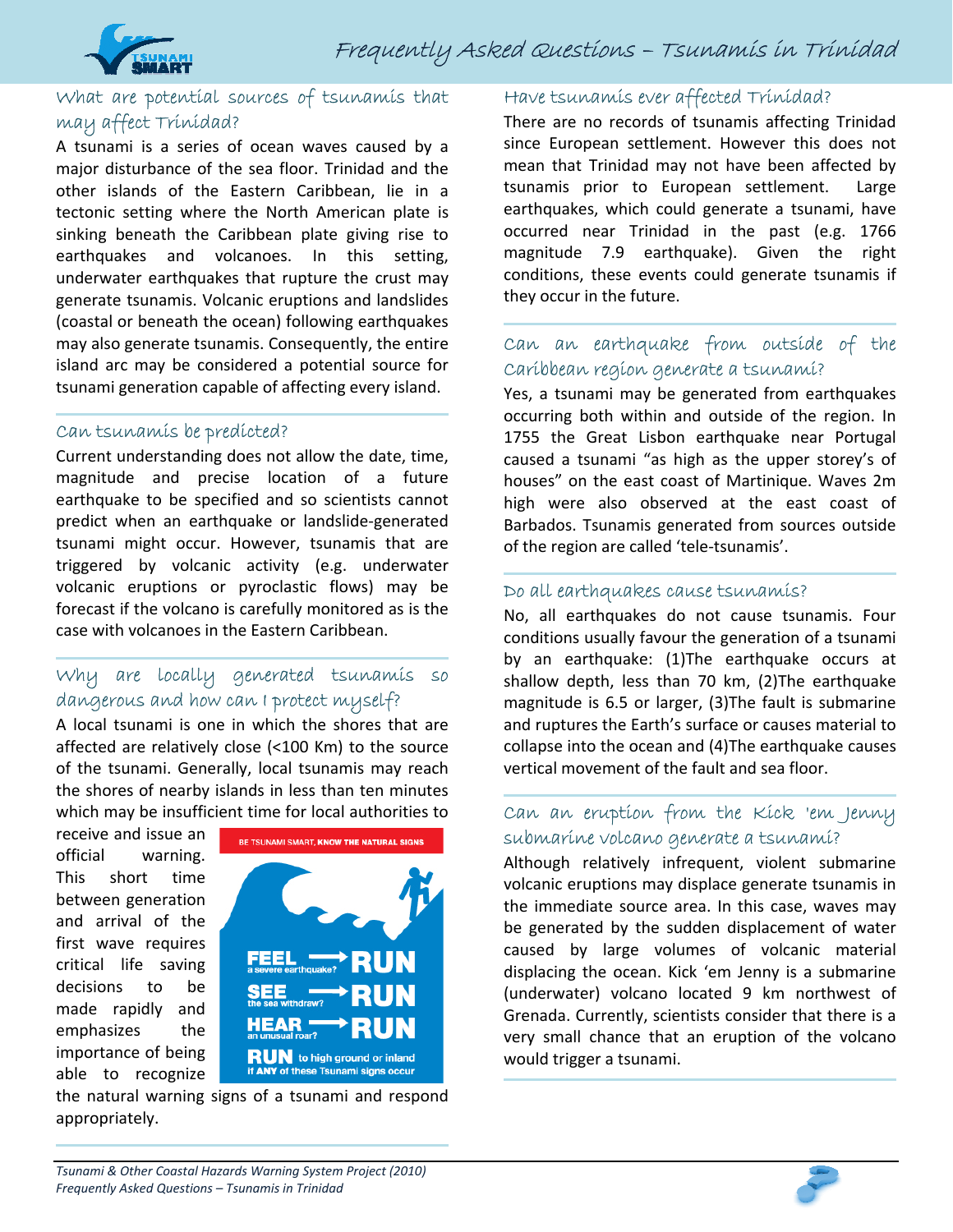

### What are potential sources of tsunamis that may affect Trinidad?

A tsunami is a series of ocean waves caused by a major disturbance of the sea floor. Trinidad and the other islands of the Eastern Caribbean, lie in a tectonic setting where the North American plate is sinking beneath the Caribbean plate giving rise to earthquakes and volcanoes. In this setting, underwater earthquakes that rupture the crust may generate tsunamis. Volcanic eruptions and landslides (coastal or beneath the ocean) following earthquakes may also generate tsunamis. Consequently, the entire island arc may be considered a potential source for tsunami generation capable of affecting every island.

#### Can tsunamis be predicted?

Current understanding does not allow the date, time, magnitude and precise location of a future earthquake to be specified and so scientists cannot predict when an earthquake or landslide‐generated tsunami might occur. However, tsunamis that are triggered by volcanic activity (e.g. underwater volcanic eruptions or pyroclastic flows) may be forecast if the volcano is carefully monitored as is the case with volcanoes in the Eastern Caribbean.

# Why are locally generated tsunamis so dangerous and how can I protect myself?

A local tsunami is one in which the shores that are affected are relatively close (<100 Km) to the source of the tsunami. Generally, local tsunamis may reach the shores of nearby islands in less than ten minutes which may be insufficient time for local authorities to

receive and issue an official warning. This short time between generation and arrival of the first wave requires critical life saving decisions to be made rapidly and emphasizes the importance of being able to recognize



the natural warning signs of a tsunami and respond appropriately.

#### Have tsunamis ever affected Trinidad?

There are no records of tsunamis affecting Trinidad since European settlement. However this does not mean that Trinidad may not have been affected by tsunamis prior to European settlement. Large earthquakes, which could generate a tsunami, have occurred near Trinidad in the past (e.g. 1766 magnitude 7.9 earthquake). Given the right conditions, these events could generate tsunamis if they occur in the future.

# Can an earthquake from outside of the Caribbean region generate a tsunami?

Yes, a tsunami may be generated from earthquakes occurring both within and outside of the region. In 1755 the Great Lisbon earthquake near Portugal caused a tsunami "as high as the upper storey's of houses" on the east coast of Martinique. Waves 2m high were also observed at the east coast of Barbados. Tsunamis generated from sources outside of the region are called 'tele‐tsunamis'.

#### Do all earthquakes cause tsunamis?

No, all earthquakes do not cause tsunamis. Four conditions usually favour the generation of a tsunami by an earthquake: (1)The earthquake occurs at shallow depth, less than 70 km, (2)The earthquake magnitude is 6.5 or larger, (3)The fault is submarine and ruptures the Earth's surface or causes material to collapse into the ocean and (4)The earthquake causes vertical movement of the fault and sea floor.

### Can an eruption from the Kick 'em Jenny submarine volcano generate a tsunami?

Although relatively infrequent, violent submarine volcanic eruptions may displace generate tsunamis in the immediate source area. In this case, waves may be generated by the sudden displacement of water caused by large volumes of volcanic material displacing the ocean. Kick 'em Jenny is a submarine (underwater) volcano located 9 km northwest of Grenada. Currently, scientists consider that there is a very small chance that an eruption of the volcano would trigger a tsunami.